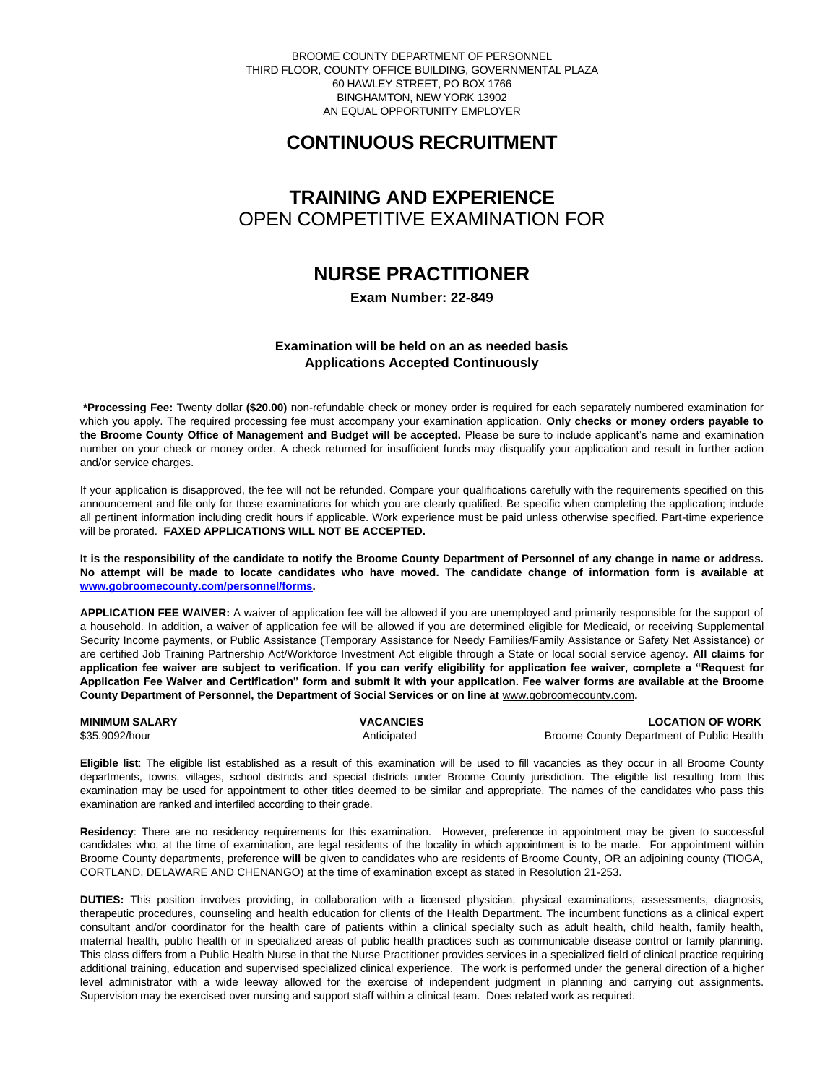BROOME COUNTY DEPARTMENT OF PERSONNEL THIRD FLOOR, COUNTY OFFICE BUILDING, GOVERNMENTAL PLAZA 60 HAWLEY STREET, PO BOX 1766 BINGHAMTON, NEW YORK 13902 AN EQUAL OPPORTUNITY EMPLOYER

# **CONTINUOUS RECRUITMENT**

# **TRAINING AND EXPERIENCE** OPEN COMPETITIVE EXAMINATION FOR

# **NURSE PRACTITIONER**

**Exam Number: 22-849**

## **Examination will be held on an as needed basis Applications Accepted Continuously**

**\*Processing Fee:** Twenty dollar **(\$20.00)** non-refundable check or money order is required for each separately numbered examination for which you apply. The required processing fee must accompany your examination application. **Only checks or money orders payable to the Broome County Office of Management and Budget will be accepted.** Please be sure to include applicant's name and examination number on your check or money order. A check returned for insufficient funds may disqualify your application and result in further action and/or service charges.

If your application is disapproved, the fee will not be refunded. Compare your qualifications carefully with the requirements specified on this announcement and file only for those examinations for which you are clearly qualified. Be specific when completing the application; include all pertinent information including credit hours if applicable. Work experience must be paid unless otherwise specified. Part-time experience will be prorated. **FAXED APPLICATIONS WILL NOT BE ACCEPTED.** 

**It is the responsibility of the candidate to notify the Broome County Department of Personnel of any change in name or address. No attempt will be made to locate candidates who have moved. The candidate change of information form is available at [www.gobroomecounty.com/personnel/forms.](http://www.gobroomecounty.com/personnel/forms)** 

**APPLICATION FEE WAIVER:** A waiver of application fee will be allowed if you are unemployed and primarily responsible for the support of a household. In addition, a waiver of application fee will be allowed if you are determined eligible for Medicaid, or receiving Supplemental Security Income payments, or Public Assistance (Temporary Assistance for Needy Families/Family Assistance or Safety Net Assistance) or are certified Job Training Partnership Act/Workforce Investment Act eligible through a State or local social service agency. **All claims for application fee waiver are subject to verification. If you can verify eligibility for application fee waiver, complete a "Request for Application Fee Waiver and Certification" form and submit it with your application. Fee waiver forms are available at the Broome**  County Department of Personnel, the Department of Social Services or on line at **www.gobroomecounty.com.** 

**MINIMUM SALARY CONSUMINIMUM SALARY CONSUMINIMUM SALARY CONSUMINIMUM SALARY CONSUMINIMUM SALARY** \$35.9092/hour **Anticipated** Broome County Department of Public Health Anticipated Broome County Department of Public Health

**Eligible list**: The eligible list established as a result of this examination will be used to fill vacancies as they occur in all Broome County departments, towns, villages, school districts and special districts under Broome County jurisdiction. The eligible list resulting from this examination may be used for appointment to other titles deemed to be similar and appropriate. The names of the candidates who pass this examination are ranked and interfiled according to their grade.

**Residency**: There are no residency requirements for this examination. However, preference in appointment may be given to successful candidates who, at the time of examination, are legal residents of the locality in which appointment is to be made. For appointment within Broome County departments, preference **will** be given to candidates who are residents of Broome County, OR an adjoining county (TIOGA, CORTLAND, DELAWARE AND CHENANGO) at the time of examination except as stated in Resolution 21-253.

**DUTIES:** This position involves providing, in collaboration with a licensed physician, physical examinations, assessments, diagnosis, therapeutic procedures, counseling and health education for clients of the Health Department. The incumbent functions as a clinical expert consultant and/or coordinator for the health care of patients within a clinical specialty such as adult health, child health, family health, maternal health, public health or in specialized areas of public health practices such as communicable disease control or family planning. This class differs from a Public Health Nurse in that the Nurse Practitioner provides services in a specialized field of clinical practice requiring additional training, education and supervised specialized clinical experience. The work is performed under the general direction of a higher level administrator with a wide leeway allowed for the exercise of independent judgment in planning and carrying out assignments. Supervision may be exercised over nursing and support staff within a clinical team. Does related work as required.